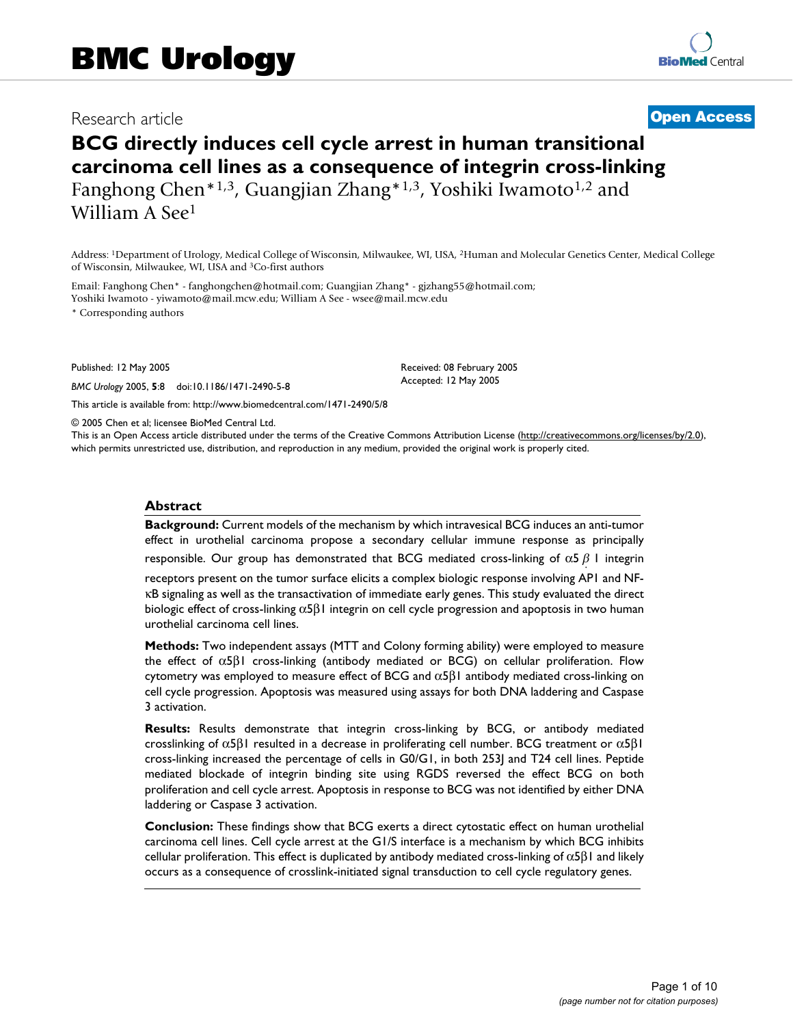## Research article **[Open Access](http://www.biomedcentral.com/info/about/charter/)**

# **BCG directly induces cell cycle arrest in human transitional carcinoma cell lines as a consequence of integrin cross-linking** Fanghong Chen\*1,3, Guangjian Zhang\*1,3, Yoshiki Iwamoto<sup>1,2</sup> and William A See1

Address: 1Department of Urology, Medical College of Wisconsin, Milwaukee, WI, USA, 2Human and Molecular Genetics Center, Medical College of Wisconsin, Milwaukee, WI, USA and 3Co-first authors

Email: Fanghong Chen\* - fanghongchen@hotmail.com; Guangjian Zhang\* - gjzhang55@hotmail.com; Yoshiki Iwamoto - yiwamoto@mail.mcw.edu; William A See - wsee@mail.mcw.edu

\* Corresponding authors

Published: 12 May 2005

*BMC Urology* 2005, **5**:8 doi:10.1186/1471-2490-5-8

[This article is available from: http://www.biomedcentral.com/1471-2490/5/8](http://www.biomedcentral.com/1471-2490/5/8)

© 2005 Chen et al; licensee BioMed Central Ltd.

This is an Open Access article distributed under the terms of the Creative Commons Attribution License [\(http://creativecommons.org/licenses/by/2.0\)](http://creativecommons.org/licenses/by/2.0), which permits unrestricted use, distribution, and reproduction in any medium, provided the original work is properly cited.

Received: 08 February 2005 Accepted: 12 May 2005

#### **Abstract**

**Background:** Current models of the mechanism by which intravesical BCG induces an anti-tumor effect in urothelial carcinoma propose a secondary cellular immune response as principally

responsible. Our group has demonstrated that BCG mediated cross-linking of  $\alpha$ 5  $\beta$  1 integrin

receptors present on the tumor surface elicits a complex biologic response involving AP1 and NF κB signaling as well as the transactivation of immediate early genes. This study evaluated the direct biologic effect of cross-linking  $\alpha$ 5β1 integrin on cell cycle progression and apoptosis in two human urothelial carcinoma cell lines.

**Methods:** Two independent assays (MTT and Colony forming ability) were employed to measure the effect of α5β1 cross-linking (antibody mediated or BCG) on cellular proliferation. Flow cytometry was employed to measure effect of BCG and  $\alpha$ 5β1 antibody mediated cross-linking on cell cycle progression. Apoptosis was measured using assays for both DNA laddering and Caspase 3 activation.

**Results:** Results demonstrate that integrin cross-linking by BCG, or antibody mediated crosslinking of  $\alpha$ 5β1 resulted in a decrease in proliferating cell number. BCG treatment or  $\alpha$ 5β1 cross-linking increased the percentage of cells in G0/G1, in both 253J and T24 cell lines. Peptide mediated blockade of integrin binding site using RGDS reversed the effect BCG on both proliferation and cell cycle arrest. Apoptosis in response to BCG was not identified by either DNA laddering or Caspase 3 activation.

**Conclusion:** These findings show that BCG exerts a direct cytostatic effect on human urothelial carcinoma cell lines. Cell cycle arrest at the G1/S interface is a mechanism by which BCG inhibits cellular proliferation. This effect is duplicated by antibody mediated cross-linking of  $\alpha$ 5 $\beta$ 1 and likely occurs as a consequence of crosslink-initiated signal transduction to cell cycle regulatory genes.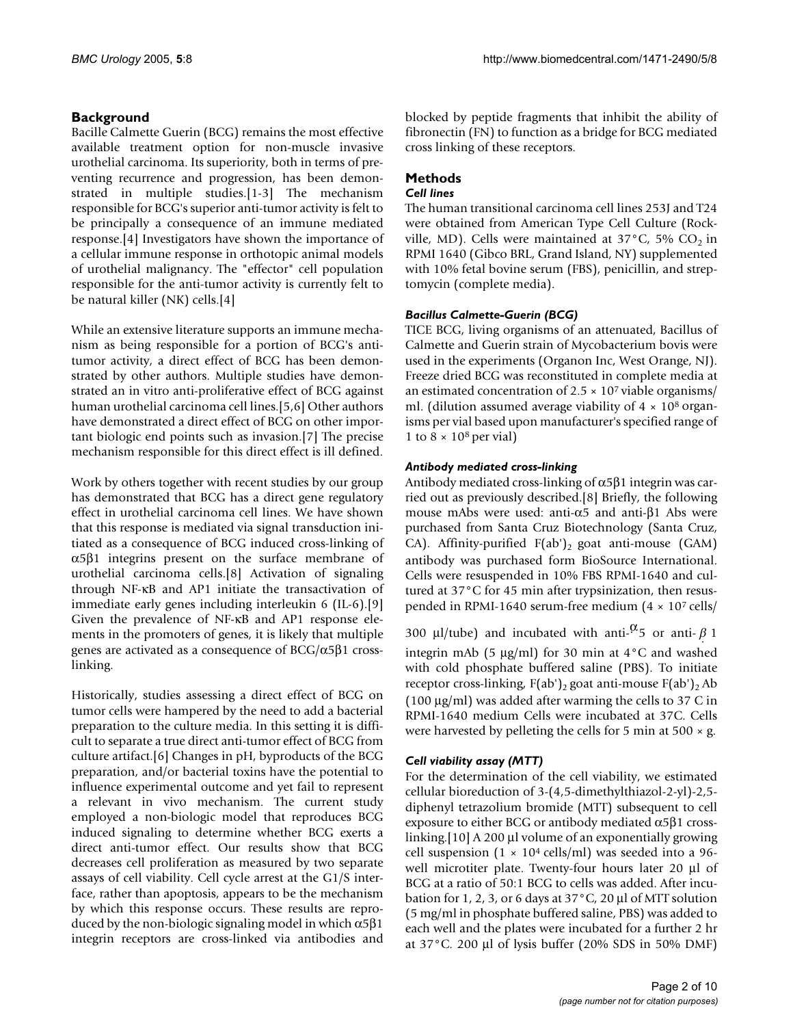## **Background**

Bacille Calmette Guerin (BCG) remains the most effective available treatment option for non-muscle invasive urothelial carcinoma. Its superiority, both in terms of preventing recurrence and progression, has been demonstrated in multiple studies.[1-3] The mechanism responsible for BCG's superior anti-tumor activity is felt to be principally a consequence of an immune mediated response.[4] Investigators have shown the importance of a cellular immune response in orthotopic animal models of urothelial malignancy. The "effector" cell population responsible for the anti-tumor activity is currently felt to be natural killer (NK) cells.[4]

While an extensive literature supports an immune mechanism as being responsible for a portion of BCG's antitumor activity, a direct effect of BCG has been demonstrated by other authors. Multiple studies have demonstrated an in vitro anti-proliferative effect of BCG against human urothelial carcinoma cell lines.[5,6] Other authors have demonstrated a direct effect of BCG on other important biologic end points such as invasion.[7] The precise mechanism responsible for this direct effect is ill defined.

Work by others together with recent studies by our group has demonstrated that BCG has a direct gene regulatory effect in urothelial carcinoma cell lines. We have shown that this response is mediated via signal transduction initiated as a consequence of BCG induced cross-linking of α5β1 integrins present on the surface membrane of urothelial carcinoma cells.[8] Activation of signaling through NF-κB and AP1 initiate the transactivation of immediate early genes including interleukin 6 (IL-6).[9] Given the prevalence of NF-κB and AP1 response elements in the promoters of genes, it is likely that multiple genes are activated as a consequence of BCG/α5β1 crosslinking.

Historically, studies assessing a direct effect of BCG on tumor cells were hampered by the need to add a bacterial preparation to the culture media. In this setting it is difficult to separate a true direct anti-tumor effect of BCG from culture artifact.[6] Changes in pH, byproducts of the BCG preparation, and/or bacterial toxins have the potential to influence experimental outcome and yet fail to represent a relevant in vivo mechanism. The current study employed a non-biologic model that reproduces BCG induced signaling to determine whether BCG exerts a direct anti-tumor effect. Our results show that BCG decreases cell proliferation as measured by two separate assays of cell viability. Cell cycle arrest at the G1/S interface, rather than apoptosis, appears to be the mechanism by which this response occurs. These results are reproduced by the non-biologic signaling model in which  $\alpha$ 5 $\beta$ 1 integrin receptors are cross-linked via antibodies and

blocked by peptide fragments that inhibit the ability of fibronectin (FN) to function as a bridge for BCG mediated cross linking of these receptors.

# **Methods**

## *Cell lines*

The human transitional carcinoma cell lines 253J and T24 were obtained from American Type Cell Culture (Rockville, MD). Cells were maintained at  $37^{\circ}$ C, 5% CO<sub>2</sub> in RPMI 1640 (Gibco BRL, Grand Island, NY) supplemented with 10% fetal bovine serum (FBS), penicillin, and streptomycin (complete media).

## *Bacillus Calmette-Guerin (BCG)*

TICE BCG, living organisms of an attenuated, Bacillus of Calmette and Guerin strain of Mycobacterium bovis were used in the experiments (Organon Inc, West Orange, NJ). Freeze dried BCG was reconstituted in complete media at an estimated concentration of  $2.5 \times 10^7$  viable organisms/ ml. (dilution assumed average viability of  $4 \times 10^8$  organisms per vial based upon manufacturer's specified range of 1 to  $8 \times 10^8$  per vial)

## *Antibody mediated cross-linking*

Antibody mediated cross-linking of  $\alpha$ 5 $\beta$ 1 integrin was carried out as previously described.[8] Briefly, the following mouse mAbs were used: anti- $α5$  and anti- $β1$  Abs were purchased from Santa Cruz Biotechnology (Santa Cruz, CA). Affinity-purified  $F(ab')_2$  goat anti-mouse (GAM) antibody was purchased form BioSource International. Cells were resuspended in 10% FBS RPMI-1640 and cultured at 37°C for 45 min after trypsinization, then resuspended in RPMI-1640 serum-free medium (4 × 107 cells/

300 µl/tube) and incubated with anti- $\frac{\alpha}{5}$  or anti- $\beta$  1 integrin mAb (5 µg/ml) for 30 min at 4°C and washed with cold phosphate buffered saline (PBS). To initiate receptor cross-linking,  $F(ab')_2$  goat anti-mouse  $F(ab')_2$  Ab (100 µg/ml) was added after warming the cells to 37 C in RPMI-1640 medium Cells were incubated at 37C. Cells were harvested by pelleting the cells for 5 min at 500  $\times$  g.

## *Cell viability assay (MTT)*

For the determination of the cell viability, we estimated cellular bioreduction of 3-(4,5-dimethylthiazol-2-yl)-2,5 diphenyl tetrazolium bromide (MTT) subsequent to cell exposure to either BCG or antibody mediated  $\alpha$ 5β1 crosslinking.[10] A 200 µl volume of an exponentially growing cell suspension  $(1 \times 10^4 \text{ cells/ml})$  was seeded into a 96well microtiter plate. Twenty-four hours later 20 µl of BCG at a ratio of 50:1 BCG to cells was added. After incubation for 1, 2, 3, or 6 days at 37°C, 20 µl of MTT solution (5 mg/ml in phosphate buffered saline, PBS) was added to each well and the plates were incubated for a further 2 hr at 37°C. 200 µl of lysis buffer (20% SDS in 50% DMF)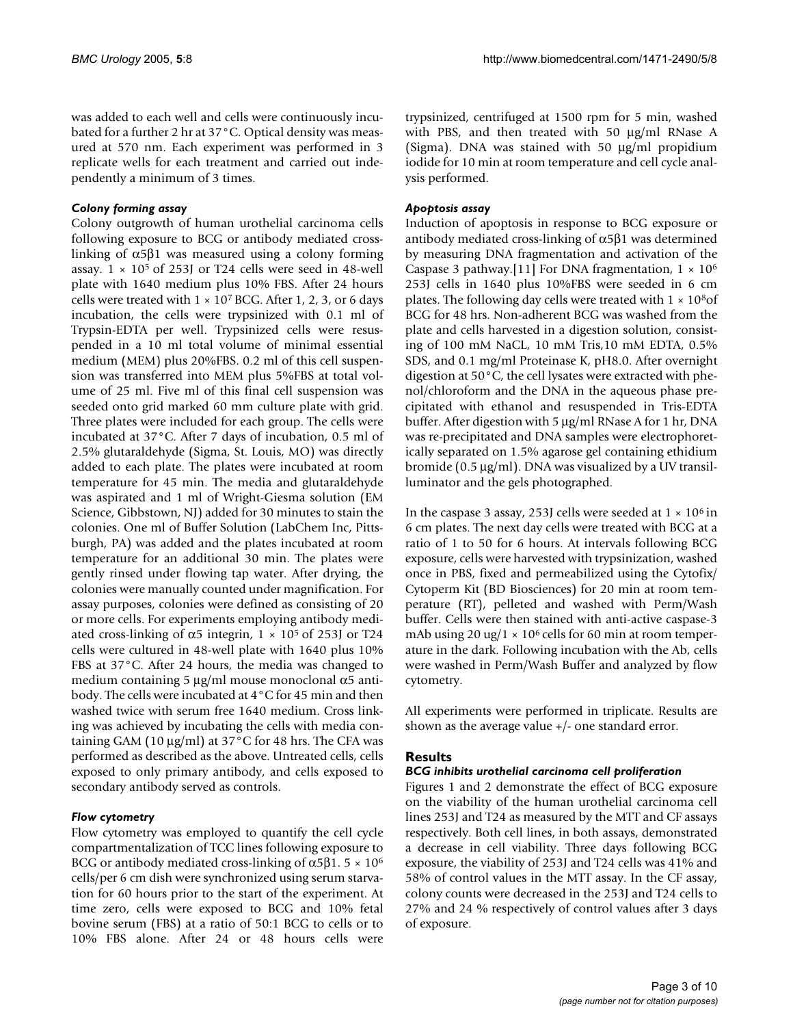was added to each well and cells were continuously incubated for a further 2 hr at 37°C. Optical density was measured at 570 nm. Each experiment was performed in 3 replicate wells for each treatment and carried out independently a minimum of 3 times.

#### *Colony forming assay*

Colony outgrowth of human urothelial carcinoma cells following exposure to BCG or antibody mediated crosslinking of  $α5β1$  was measured using a colony forming assay.  $1 \times 10^5$  of 253J or T24 cells were seed in 48-well plate with 1640 medium plus 10% FBS. After 24 hours cells were treated with  $1 \times 10^7$  BCG. After 1, 2, 3, or 6 days incubation, the cells were trypsinized with 0.1 ml of Trypsin-EDTA per well. Trypsinized cells were resuspended in a 10 ml total volume of minimal essential medium (MEM) plus 20%FBS. 0.2 ml of this cell suspension was transferred into MEM plus 5%FBS at total volume of 25 ml. Five ml of this final cell suspension was seeded onto grid marked 60 mm culture plate with grid. Three plates were included for each group. The cells were incubated at 37°C. After 7 days of incubation, 0.5 ml of 2.5% glutaraldehyde (Sigma, St. Louis, MO) was directly added to each plate. The plates were incubated at room temperature for 45 min. The media and glutaraldehyde was aspirated and 1 ml of Wright-Giesma solution (EM Science, Gibbstown, NJ) added for 30 minutes to stain the colonies. One ml of Buffer Solution (LabChem Inc, Pittsburgh, PA) was added and the plates incubated at room temperature for an additional 30 min. The plates were gently rinsed under flowing tap water. After drying, the colonies were manually counted under magnification. For assay purposes, colonies were defined as consisting of 20 or more cells. For experiments employing antibody mediated cross-linking of  $\alpha$ 5 integrin,  $1 \times 10^5$  of 253J or T24 cells were cultured in 48-well plate with 1640 plus 10% FBS at 37°C. After 24 hours, the media was changed to medium containing 5  $\mu$ g/ml mouse monoclonal α5 antibody. The cells were incubated at 4°C for 45 min and then washed twice with serum free 1640 medium. Cross linking was achieved by incubating the cells with media containing GAM (10  $\mu$ g/ml) at 37°C for 48 hrs. The CFA was performed as described as the above. Untreated cells, cells exposed to only primary antibody, and cells exposed to secondary antibody served as controls.

#### *Flow cytometry*

Flow cytometry was employed to quantify the cell cycle compartmentalization of TCC lines following exposure to BCG or antibody mediated cross-linking of  $\alpha$ 5β1. 5 × 10<sup>6</sup> cells/per 6 cm dish were synchronized using serum starvation for 60 hours prior to the start of the experiment. At time zero, cells were exposed to BCG and 10% fetal bovine serum (FBS) at a ratio of 50:1 BCG to cells or to 10% FBS alone. After 24 or 48 hours cells were

trypsinized, centrifuged at 1500 rpm for 5 min, washed with PBS, and then treated with 50 µg/ml RNase A (Sigma). DNA was stained with 50 µg/ml propidium iodide for 10 min at room temperature and cell cycle analysis performed.

#### *Apoptosis assay*

Induction of apoptosis in response to BCG exposure or antibody mediated cross-linking of α5β1 was determined by measuring DNA fragmentation and activation of the Caspase 3 pathway.[11] For DNA fragmentation,  $1 \times 10^6$ 253J cells in 1640 plus 10%FBS were seeded in 6 cm plates. The following day cells were treated with  $1 \times 10^8$ of BCG for 48 hrs. Non-adherent BCG was washed from the plate and cells harvested in a digestion solution, consisting of 100 mM NaCL, 10 mM Tris,10 mM EDTA, 0.5% SDS, and 0.1 mg/ml Proteinase K, pH8.0. After overnight digestion at 50°C, the cell lysates were extracted with phenol/chloroform and the DNA in the aqueous phase precipitated with ethanol and resuspended in Tris-EDTA buffer. After digestion with 5 µg/ml RNase A for 1 hr, DNA was re-precipitated and DNA samples were electrophoretically separated on 1.5% agarose gel containing ethidium bromide (0.5 µg/ml). DNA was visualized by a UV transilluminator and the gels photographed.

In the caspase 3 assay, 253J cells were seeded at  $1 \times 10^6$  in 6 cm plates. The next day cells were treated with BCG at a ratio of 1 to 50 for 6 hours. At intervals following BCG exposure, cells were harvested with trypsinization, washed once in PBS, fixed and permeabilized using the Cytofix/ Cytoperm Kit (BD Biosciences) for 20 min at room temperature (RT), pelleted and washed with Perm/Wash buffer. Cells were then stained with anti-active caspase-3 mAb using 20 ug/1  $\times$  10<sup>6</sup> cells for 60 min at room temperature in the dark. Following incubation with the Ab, cells were washed in Perm/Wash Buffer and analyzed by flow cytometry.

All experiments were performed in triplicate. Results are shown as the average value +/- one standard error.

#### **Results**

#### *BCG inhibits urothelial carcinoma cell proliferation*

Figures 1 and 2 demonstrate the effect of BCG exposure on the viability of the human urothelial carcinoma cell lines 253J and T24 as measured by the MTT and CF assays respectively. Both cell lines, in both assays, demonstrated a decrease in cell viability. Three days following BCG exposure, the viability of 253J and T24 cells was 41% and 58% of control values in the MTT assay. In the CF assay, colony counts were decreased in the 253J and T24 cells to 27% and 24 % respectively of control values after 3 days of exposure.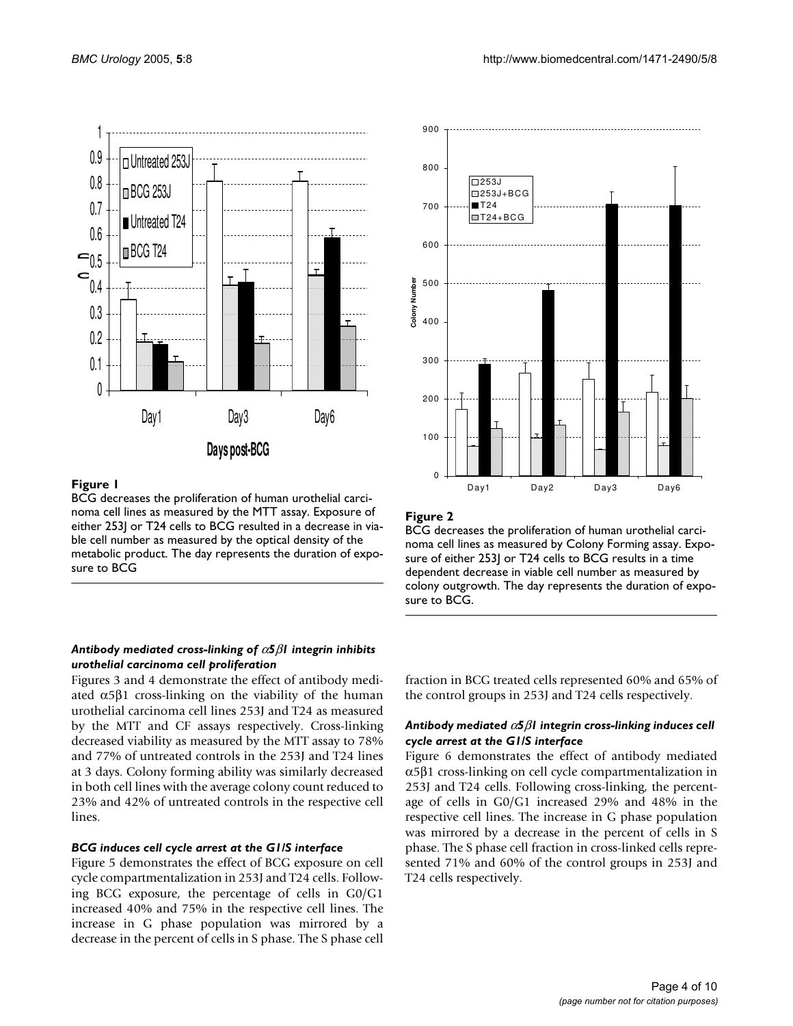



#### **Figure 1**

BCG decreases the proliferation of human urothelial carcinoma cell lines as measured by the MTT assay. Exposure of either 253J or T24 cells to BCG resulted in a decrease in viable cell number as measured by the optical density of the metabolic product. The day represents the duration of exposure to BCG

#### *Antibody mediated cross-linking of* α*5*β*1 integrin inhibits urothelial carcinoma cell proliferation*

Figures 3 and 4 demonstrate the effect of antibody mediated  $α5β1$  cross-linking on the viability of the human urothelial carcinoma cell lines 253J and T24 as measured by the MTT and CF assays respectively. Cross-linking decreased viability as measured by the MTT assay to 78% and 77% of untreated controls in the 253J and T24 lines at 3 days. Colony forming ability was similarly decreased in both cell lines with the average colony count reduced to 23% and 42% of untreated controls in the respective cell lines.

#### *BCG induces cell cycle arrest at the G1/S interface*

Figure 5 demonstrates the effect of BCG exposure on cell cycle compartmentalization in 253J and T24 cells. Following BCG exposure, the percentage of cells in G0/G1 increased 40% and 75% in the respective cell lines. The increase in G phase population was mirrored by a decrease in the percent of cells in S phase. The S phase cell



#### **Figure 2**

BCG decreases the proliferation of human urothelial carcinoma cell lines as measured by Colony Forming assay. Exposure of either 253J or T24 cells to BCG results in a time dependent decrease in viable cell number as measured by colony outgrowth. The day represents the duration of exposure to BCG.

fraction in BCG treated cells represented 60% and 65% of the control groups in 253J and T24 cells respectively.

#### *Antibody mediated* α*5*β*1 integrin cross-linking induces cell cycle arrest at the G1/S interface*

Figure 6 demonstrates the effect of antibody mediated α5β1 cross-linking on cell cycle compartmentalization in 253J and T24 cells. Following cross-linking, the percentage of cells in G0/G1 increased 29% and 48% in the respective cell lines. The increase in G phase population was mirrored by a decrease in the percent of cells in S phase. The S phase cell fraction in cross-linked cells represented 71% and 60% of the control groups in 253J and T24 cells respectively.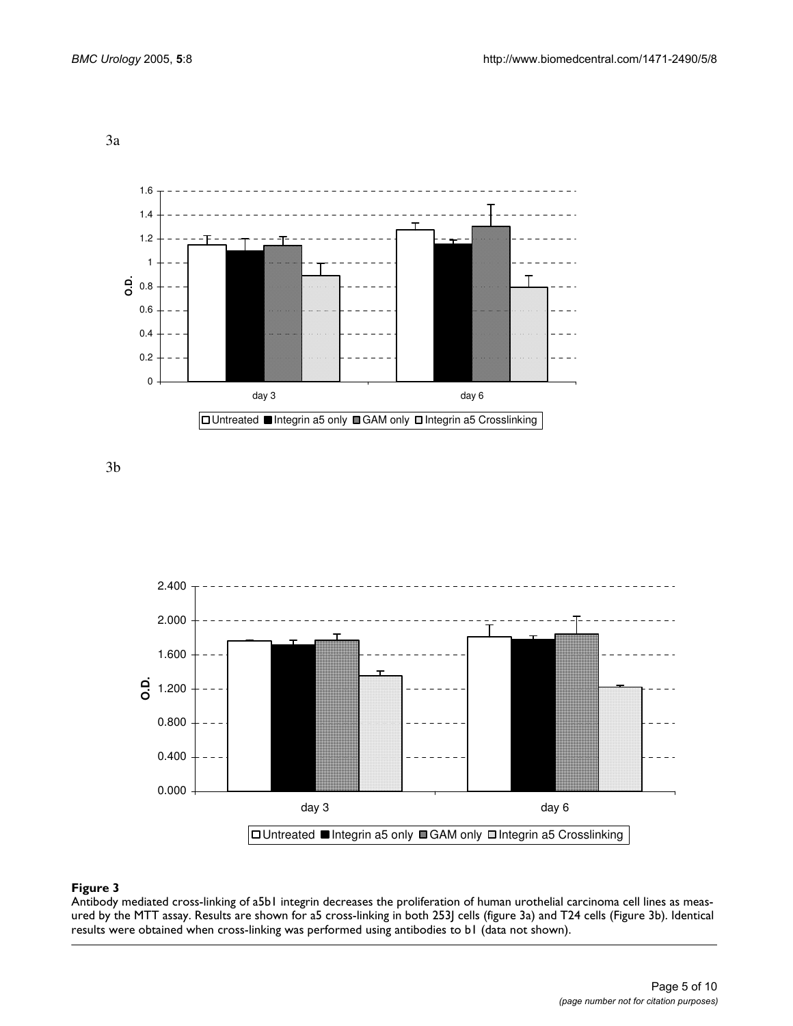3a



3b



## Antibody mediated cross-linking ured by the MTT assay **Figure 3** of a5b1 integrin decreases the proliferation of human urothelial carcinoma cell lines as meas-

Antibody mediated cross-linking of a5b1 integrin decreases the proliferation of human urothelial carcinoma cell lines as measured by the MTT assay. Results are shown for a5 cross-linking in both 253J cells (figure 3a) and T24 cells (Figure 3b). Identical results were obtained when cross-linking was performed using antibodies to b1 (data not shown).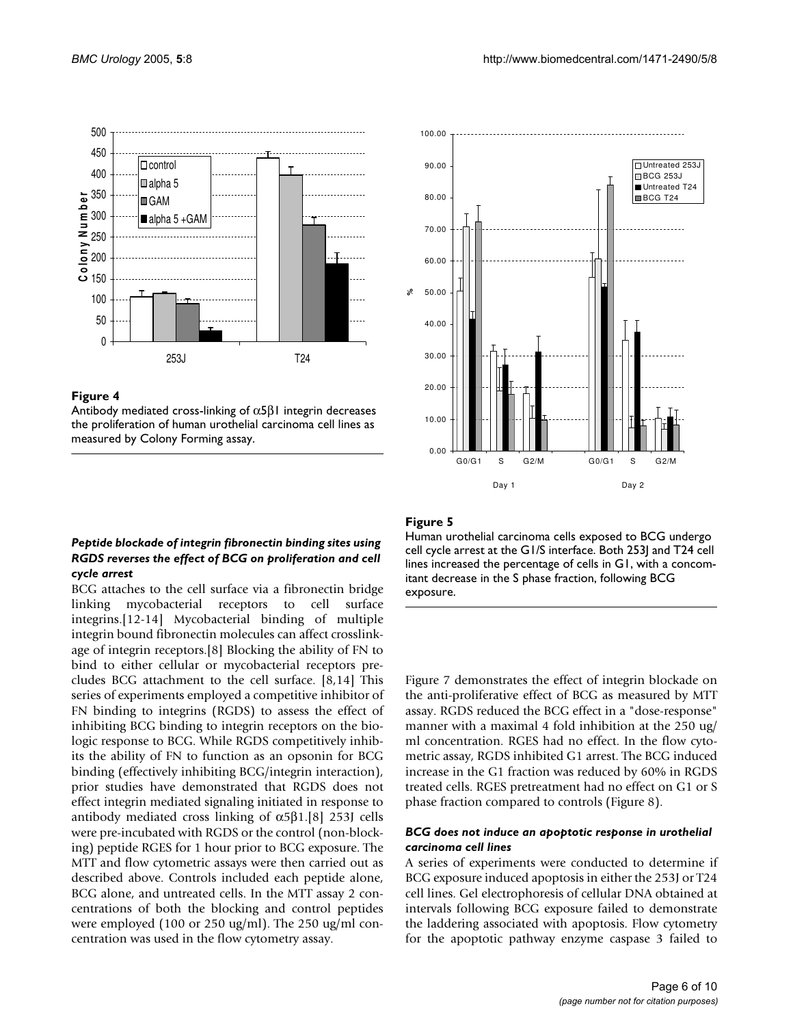

#### Figure 4

Antibody mediated cross-linking of  $\alpha$ 5β1 integrin decreases the proliferation of human urothelial carcinoma cell lines as measured by Colony Forming assay.

## *Peptide blockade of integrin fibronectin binding sites using RGDS reverses the effect of BCG on proliferation and cell cycle arrest*

BCG attaches to the cell surface via a fibronectin bridge linking mycobacterial receptors to cell surface integrins.[12-14] Mycobacterial binding of multiple integrin bound fibronectin molecules can affect crosslinkage of integrin receptors.[8] Blocking the ability of FN to bind to either cellular or mycobacterial receptors precludes BCG attachment to the cell surface. [8,14] This series of experiments employed a competitive inhibitor of FN binding to integrins (RGDS) to assess the effect of inhibiting BCG binding to integrin receptors on the biologic response to BCG. While RGDS competitively inhibits the ability of FN to function as an opsonin for BCG binding (effectively inhibiting BCG/integrin interaction), prior studies have demonstrated that RGDS does not effect integrin mediated signaling initiated in response to antibody mediated cross linking of α5β1.[8] 253J cells were pre-incubated with RGDS or the control (non-blocking) peptide RGES for 1 hour prior to BCG exposure. The MTT and flow cytometric assays were then carried out as described above. Controls included each peptide alone, BCG alone, and untreated cells. In the MTT assay 2 concentrations of both the blocking and control peptides were employed (100 or 250 ug/ml). The 250 ug/ml concentration was used in the flow cytometry assay.



## Figure 5

Human urothelial carcinoma cells exposed to BCG undergo cell cycle arrest at the G1/S interface. Both 253J and T24 cell lines increased the percentage of cells in G1, with a concomitant decrease in the S phase fraction, following BCG exposure.

Figure 7 demonstrates the effect of integrin blockade on the anti-proliferative effect of BCG as measured by MTT assay. RGDS reduced the BCG effect in a "dose-response" manner with a maximal 4 fold inhibition at the 250 ug/ ml concentration. RGES had no effect. In the flow cytometric assay, RGDS inhibited G1 arrest. The BCG induced increase in the G1 fraction was reduced by 60% in RGDS treated cells. RGES pretreatment had no effect on G1 or S phase fraction compared to controls (Figure 8).

#### *BCG does not induce an apoptotic response in urothelial carcinoma cell lines*

A series of experiments were conducted to determine if BCG exposure induced apoptosis in either the 253J or T24 cell lines. Gel electrophoresis of cellular DNA obtained at intervals following BCG exposure failed to demonstrate the laddering associated with apoptosis. Flow cytometry for the apoptotic pathway enzyme caspase 3 failed to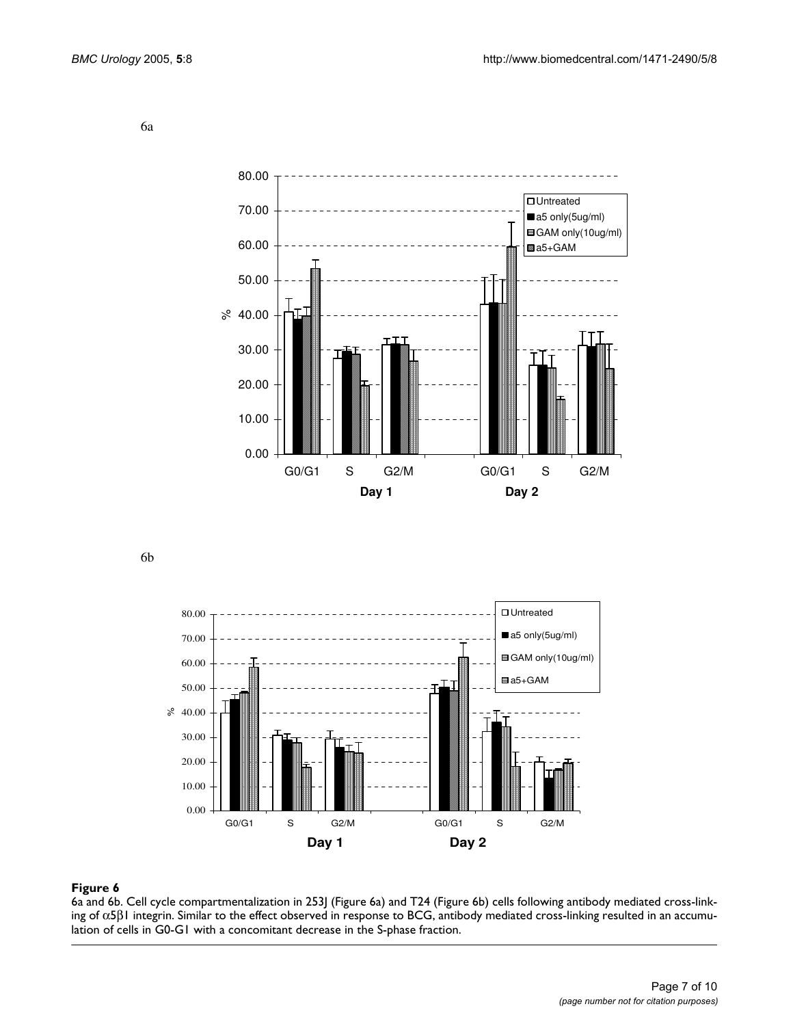6a



6b



#### 6a and 6b. Cell cycle compartmentalization in 253J (Figure 6a) ing of **Figure 6** α5β1 integrin and T24 (Figure 6b) cells following antibody mediated cross-link-

6a and 6b. Cell cycle compartmentalization in 253J (Figure 6a) and T24 (Figure 6b) cells following antibody mediated cross-linking of α5β1 integrin. Similar to the effect observed in response to BCG, antibody mediated cross-linking resulted in an accumulation of cells in G0-G1 with a concomitant decrease in the S-phase fraction.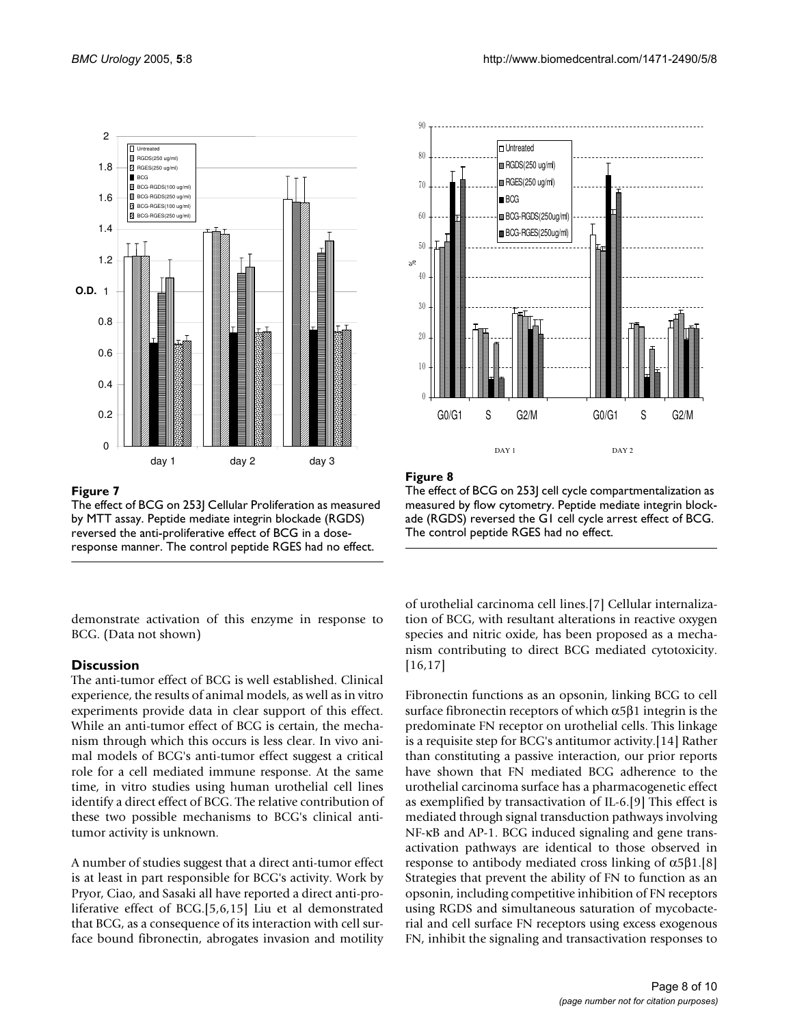

#### Figure 7

The effect of BCG on 253J Cellular Proliferation as measured by MTT assay. Peptide mediate integrin blockade (RGDS) reversed the anti-proliferative effect of BCG in a doseresponse manner. The control peptide RGES had no effect.

demonstrate activation of this enzyme in response to BCG. (Data not shown)

#### **Discussion**

The anti-tumor effect of BCG is well established. Clinical experience, the results of animal models, as well as in vitro experiments provide data in clear support of this effect. While an anti-tumor effect of BCG is certain, the mechanism through which this occurs is less clear. In vivo animal models of BCG's anti-tumor effect suggest a critical role for a cell mediated immune response. At the same time, in vitro studies using human urothelial cell lines identify a direct effect of BCG. The relative contribution of these two possible mechanisms to BCG's clinical antitumor activity is unknown.

A number of studies suggest that a direct anti-tumor effect is at least in part responsible for BCG's activity. Work by Pryor, Ciao, and Sasaki all have reported a direct anti-proliferative effect of BCG.[5,6,15] Liu et al demonstrated that BCG, as a consequence of its interaction with cell surface bound fibronectin, abrogates invasion and motility



#### Figure 8

The effect of BCG on 253J cell cycle compartmentalization as measured by flow cytometry. Peptide mediate integrin blockade (RGDS) reversed the G1 cell cycle arrest effect of BCG. The control peptide RGES had no effect.

of urothelial carcinoma cell lines.[7] Cellular internalization of BCG, with resultant alterations in reactive oxygen species and nitric oxide, has been proposed as a mechanism contributing to direct BCG mediated cytotoxicity. [16,17]

Fibronectin functions as an opsonin, linking BCG to cell surface fibronectin receptors of which  $\alpha$ 5β1 integrin is the predominate FN receptor on urothelial cells. This linkage is a requisite step for BCG's antitumor activity.[14] Rather than constituting a passive interaction, our prior reports have shown that FN mediated BCG adherence to the urothelial carcinoma surface has a pharmacogenetic effect as exemplified by transactivation of IL-6.[9] This effect is mediated through signal transduction pathways involving NF-κB and AP-1. BCG induced signaling and gene transactivation pathways are identical to those observed in response to antibody mediated cross linking of  $α5β1.[8]$ Strategies that prevent the ability of FN to function as an opsonin, including competitive inhibition of FN receptors using RGDS and simultaneous saturation of mycobacterial and cell surface FN receptors using excess exogenous FN, inhibit the signaling and transactivation responses to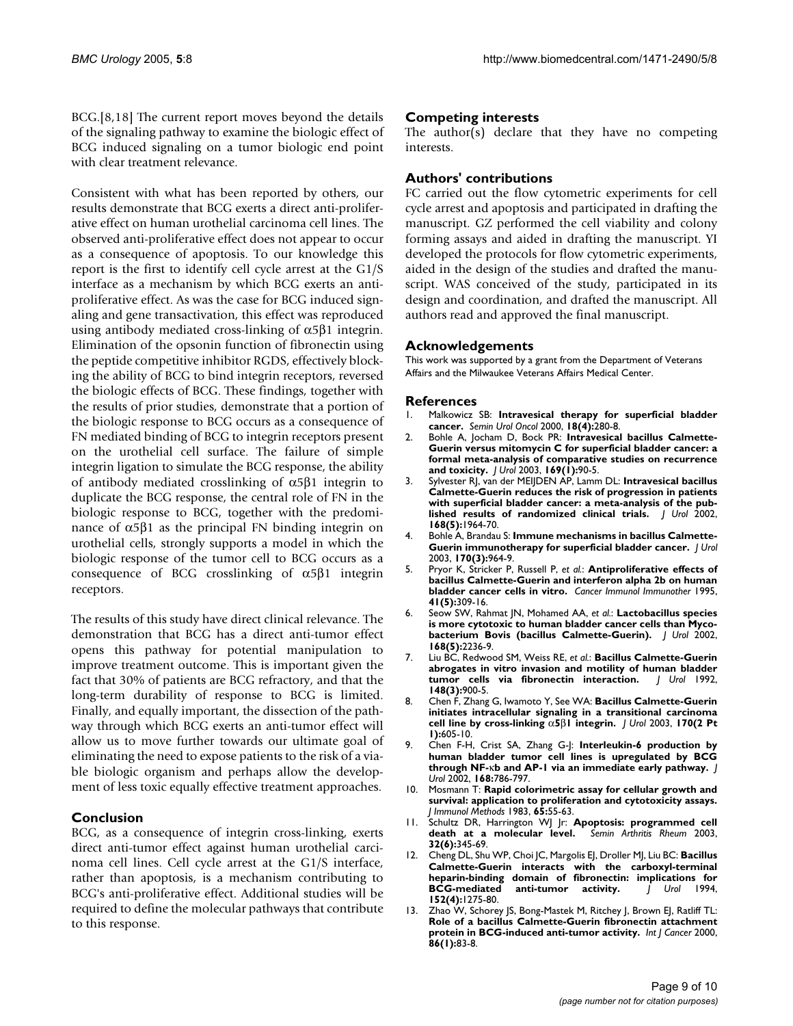BCG.[8,18] The current report moves beyond the details of the signaling pathway to examine the biologic effect of BCG induced signaling on a tumor biologic end point with clear treatment relevance.

Consistent with what has been reported by others, our results demonstrate that BCG exerts a direct anti-proliferative effect on human urothelial carcinoma cell lines. The observed anti-proliferative effect does not appear to occur as a consequence of apoptosis. To our knowledge this report is the first to identify cell cycle arrest at the G1/S interface as a mechanism by which BCG exerts an antiproliferative effect. As was the case for BCG induced signaling and gene transactivation, this effect was reproduced using antibody mediated cross-linking of  $α5β1$  integrin. Elimination of the opsonin function of fibronectin using the peptide competitive inhibitor RGDS, effectively blocking the ability of BCG to bind integrin receptors, reversed the biologic effects of BCG. These findings, together with the results of prior studies, demonstrate that a portion of the biologic response to BCG occurs as a consequence of FN mediated binding of BCG to integrin receptors present on the urothelial cell surface. The failure of simple integrin ligation to simulate the BCG response, the ability of antibody mediated crosslinking of α5β1 integrin to duplicate the BCG response, the central role of FN in the biologic response to BCG, together with the predominance of  $α5β1$  as the principal FN binding integrin on urothelial cells, strongly supports a model in which the biologic response of the tumor cell to BCG occurs as a consequence of BCG crosslinking of α5β1 integrin receptors.

The results of this study have direct clinical relevance. The demonstration that BCG has a direct anti-tumor effect opens this pathway for potential manipulation to improve treatment outcome. This is important given the fact that 30% of patients are BCG refractory, and that the long-term durability of response to BCG is limited. Finally, and equally important, the dissection of the pathway through which BCG exerts an anti-tumor effect will allow us to move further towards our ultimate goal of eliminating the need to expose patients to the risk of a viable biologic organism and perhaps allow the development of less toxic equally effective treatment approaches.

#### **Conclusion**

BCG, as a consequence of integrin cross-linking, exerts direct anti-tumor effect against human urothelial carcinoma cell lines. Cell cycle arrest at the G1/S interface, rather than apoptosis, is a mechanism contributing to BCG's anti-proliferative effect. Additional studies will be required to define the molecular pathways that contribute to this response.

#### **Competing interests**

The author(s) declare that they have no competing interests.

#### **Authors' contributions**

FC carried out the flow cytometric experiments for cell cycle arrest and apoptosis and participated in drafting the manuscript. GZ performed the cell viability and colony forming assays and aided in drafting the manuscript. YI developed the protocols for flow cytometric experiments, aided in the design of the studies and drafted the manuscript. WAS conceived of the study, participated in its design and coordination, and drafted the manuscript. All authors read and approved the final manuscript.

#### **Acknowledgements**

This work was supported by a grant from the Department of Veterans Affairs and the Milwaukee Veterans Affairs Medical Center.

#### **References**

- 1. Malkowicz SB: **[Intravesical therapy for superficial bladder](http://www.ncbi.nlm.nih.gov/entrez/query.fcgi?cmd=Retrieve&db=PubMed&dopt=Abstract&list_uids=11101091) [cancer.](http://www.ncbi.nlm.nih.gov/entrez/query.fcgi?cmd=Retrieve&db=PubMed&dopt=Abstract&list_uids=11101091)** *Semin Urol Oncol* 2000, **18(4):**280-8.
- 2. Bohle A, Jocham D, Bock PR: **[Intravesical bacillus Calmette-](http://www.ncbi.nlm.nih.gov/entrez/query.fcgi?cmd=Retrieve&db=PubMed&dopt=Abstract&list_uids=12478111)[Guerin versus mitomycin C for superficial bladder cancer: a](http://www.ncbi.nlm.nih.gov/entrez/query.fcgi?cmd=Retrieve&db=PubMed&dopt=Abstract&list_uids=12478111) formal meta-analysis of comparative studies on recurrence [and toxicity.](http://www.ncbi.nlm.nih.gov/entrez/query.fcgi?cmd=Retrieve&db=PubMed&dopt=Abstract&list_uids=12478111)** *J Urol* 2003, **169(1):**90-5.
- 3. Sylvester RJ, van der MEIJDEN AP, Lamm DL: **[Intravesical bacillus](http://www.ncbi.nlm.nih.gov/entrez/query.fcgi?cmd=Retrieve&db=PubMed&dopt=Abstract&list_uids=12394686) [Calmette-Guerin reduces the risk of progression in patients](http://www.ncbi.nlm.nih.gov/entrez/query.fcgi?cmd=Retrieve&db=PubMed&dopt=Abstract&list_uids=12394686) with superficial bladder cancer: a meta-analysis of the pub[lished results of randomized clinical trials.](http://www.ncbi.nlm.nih.gov/entrez/query.fcgi?cmd=Retrieve&db=PubMed&dopt=Abstract&list_uids=12394686)** *J Urol* 2002, **168(5):**1964-70.
- 4. Bohle A, Brandau S: **[Immune mechanisms in bacillus Calmette-](http://www.ncbi.nlm.nih.gov/entrez/query.fcgi?cmd=Retrieve&db=PubMed&dopt=Abstract&list_uids=12913751)[Guerin immunotherapy for superficial bladder cancer.](http://www.ncbi.nlm.nih.gov/entrez/query.fcgi?cmd=Retrieve&db=PubMed&dopt=Abstract&list_uids=12913751)** *J Urol* 2003, **170(3):**964-9.
- 5. Pryor K, Stricker P, Russell P, *et al.*: **[Antiproliferative effects of](http://www.ncbi.nlm.nih.gov/entrez/query.fcgi?cmd=Retrieve&db=PubMed&dopt=Abstract&list_uids=8536277) [bacillus Calmette-Guerin and interferon alpha 2b on human](http://www.ncbi.nlm.nih.gov/entrez/query.fcgi?cmd=Retrieve&db=PubMed&dopt=Abstract&list_uids=8536277) [bladder cancer cells in vitro.](http://www.ncbi.nlm.nih.gov/entrez/query.fcgi?cmd=Retrieve&db=PubMed&dopt=Abstract&list_uids=8536277)** *Cancer Immunol Immunother* 1995, **41(5):**309-16.
- 6. Seow SW, Rahmat JN, Mohamed AA, *et al.*: **[Lactobacillus species](http://www.ncbi.nlm.nih.gov/entrez/query.fcgi?cmd=Retrieve&db=PubMed&dopt=Abstract&list_uids=12394766) [is more cytotoxic to human bladder cancer cells than Myco](http://www.ncbi.nlm.nih.gov/entrez/query.fcgi?cmd=Retrieve&db=PubMed&dopt=Abstract&list_uids=12394766)[bacterium Bovis \(bacillus Calmette-Guerin\).](http://www.ncbi.nlm.nih.gov/entrez/query.fcgi?cmd=Retrieve&db=PubMed&dopt=Abstract&list_uids=12394766)** *J Urol* 2002, **168(5):**2236-9.
- 7. Liu BC, Redwood SM, Weiss RE, *et al.*: **[Bacillus Calmette-Guerin](http://www.ncbi.nlm.nih.gov/entrez/query.fcgi?cmd=Retrieve&db=PubMed&dopt=Abstract&list_uids=1512857) [abrogates in vitro invasion and motility of human bladder](http://www.ncbi.nlm.nih.gov/entrez/query.fcgi?cmd=Retrieve&db=PubMed&dopt=Abstract&list_uids=1512857) [tumor cells via fibronectin interaction.](http://www.ncbi.nlm.nih.gov/entrez/query.fcgi?cmd=Retrieve&db=PubMed&dopt=Abstract&list_uids=1512857)** *J Urol* 1992, **148(3):**900-5.
- 8. Chen F, Zhang G, Iwamoto Y, See WA: **Bacillus Calmette-Guerin initiates intracellular signaling in a transitional carcinoma cell line by cross-linking** α**5**β**[1 integrin.](http://www.ncbi.nlm.nih.gov/entrez/query.fcgi?cmd=Retrieve&db=PubMed&dopt=Abstract&list_uids=12853840)** *J Urol* 2003, **170(2 Pt 1):**605-10.
- 9. Chen F-H, Crist SA, Zhang G-J: **Interleukin-6 production by human bladder tumor cell lines is upregulated by BCG through NF-**κ**[b and AP-1 via an immediate early pathway.](http://www.ncbi.nlm.nih.gov/entrez/query.fcgi?cmd=Retrieve&db=PubMed&dopt=Abstract&list_uids=12131369)** *J Urol* 2002, **168:**786-797.
- 10. Mosmann T: **[Rapid colorimetric assay for cellular growth and](http://www.ncbi.nlm.nih.gov/entrez/query.fcgi?cmd=Retrieve&db=PubMed&dopt=Abstract&list_uids=6606682) [survival: application to proliferation and cytotoxicity assays.](http://www.ncbi.nlm.nih.gov/entrez/query.fcgi?cmd=Retrieve&db=PubMed&dopt=Abstract&list_uids=6606682)** *J Immunol Methods* 1983, **65:**55-63.
- 11. Schultz DR, Harrington WJ Jr: **[Apoptosis: programmed cell](http://www.ncbi.nlm.nih.gov/entrez/query.fcgi?cmd=Retrieve&db=PubMed&dopt=Abstract&list_uids=12833244) [death at a molecular level.](http://www.ncbi.nlm.nih.gov/entrez/query.fcgi?cmd=Retrieve&db=PubMed&dopt=Abstract&list_uids=12833244)** *Semin Arthritis Rheum* 2003, **32(6):**345-69.
- 12. Cheng DL, Shu WP, Choi JC, Margolis EJ, Droller MJ, Liu BC: **[Bacillus](http://www.ncbi.nlm.nih.gov/entrez/query.fcgi?cmd=Retrieve&db=PubMed&dopt=Abstract&list_uids=8072119) [Calmette-Guerin interacts with the carboxyl-terminal](http://www.ncbi.nlm.nih.gov/entrez/query.fcgi?cmd=Retrieve&db=PubMed&dopt=Abstract&list_uids=8072119) heparin-binding domain of fibronectin: implications for BCG-mediated 152(4):**1275-80.
- 13. Zhao W, Schorey JS, Bong-Mastek M, Ritchey J, Brown EJ, Ratliff TL: **[Role of a bacillus Calmette-Guerin fibronectin attachment](http://www.ncbi.nlm.nih.gov/entrez/query.fcgi?cmd=Retrieve&db=PubMed&dopt=Abstract&list_uids=10728599) [protein in BCG-induced anti-tumor activity.](http://www.ncbi.nlm.nih.gov/entrez/query.fcgi?cmd=Retrieve&db=PubMed&dopt=Abstract&list_uids=10728599)** *Int J Cancer* 2000, **86(1):**83-8.